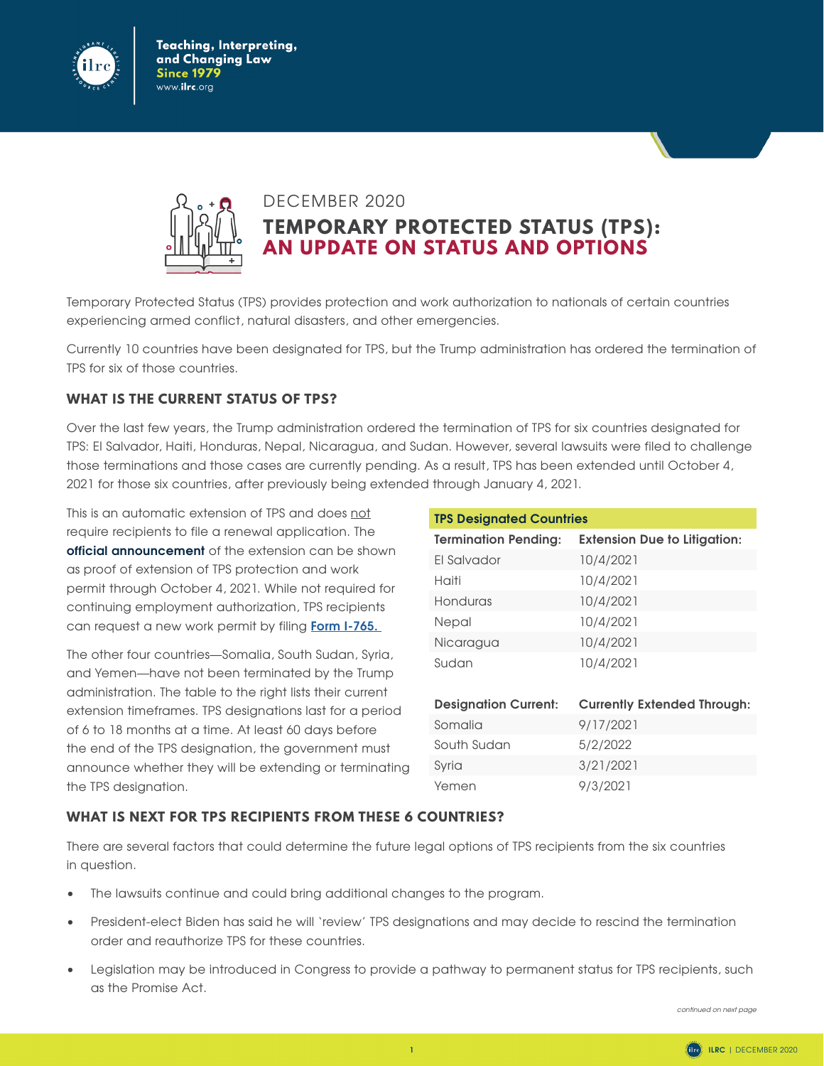

Teaching, Interpreting, and Changing Law **Since 1979** www.**ilrc**.org



## DECEMBER 2020

**TEMPORARY PROTECTED STATUS (TPS): AN UPDATE ON STATUS AND OPTIONS**

Temporary Protected Status (TPS) provides protection and work authorization to nationals of certain countries experiencing armed conflict, natural disasters, and other emergencies.

Currently 10 countries have been designated for TPS, but the Trump administration has ordered the termination of TPS for six of those countries.

## **WHAT IS THE CURRENT STATUS OF TPS?**

Over the last few years, the Trump administration ordered the termination of TPS for six countries designated for TPS: El Salvador, Haiti, Honduras, Nepal, Nicaragua, and Sudan. However, several lawsuits were filed to challenge those terminations and those cases are currently pending. As a result, TPS has been extended until October 4, 2021 for those six countries, after previously being extended through January 4, 2021.

This is an automatic extension of TPS and does not require recipients to file a renewal application. The **[official announcement](https://www.federalregister.gov/documents/2020/12/09/2020-27154/continuation-of-documentation-for-beneficiaries-of-temporary-protected-status-designations-for-el)** of the extension can be shown as proof of extension of TPS protection and work permit through October 4, 2021. While not required for continuing employment authorization, TPS recipients can request a new work permit by filing **[Form I-765.](https://www.uscis.gov/i-765)**

The other four countries—Somalia, South Sudan, Syria, and Yemen—have not been terminated by the Trump administration. The table to the right lists their current extension timeframes. TPS designations last for a period of 6 to 18 months at a time. At least 60 days before the end of the TPS designation, the government must announce whether they will be extending or terminating the TPS designation.

| <b>TPS Designated Countries</b> |                                     |
|---------------------------------|-------------------------------------|
| <b>Termination Pending:</b>     | <b>Extension Due to Litigation:</b> |
| El Salvador                     | 10/4/2021                           |
| Haiti                           | 10/4/2021                           |
| Honduras                        | 10/4/2021                           |
| Nepal                           | 10/4/2021                           |
| Nicaragua                       | 10/4/2021                           |
| Sudan                           | 10/4/2021                           |
|                                 |                                     |
| <b>Designation Current:</b>     | <b>Currently Extended Through:</b>  |
| Somalia                         | 9/17/2021                           |
| South Sudan                     | 5/2/2022                            |
| Syria                           | 3/21/2021                           |
| Yemen                           | 9/3/2021                            |

## **WHAT IS NEXT FOR TPS RECIPIENTS FROM THESE 6 COUNTRIES?**

There are several factors that could determine the future legal options of TPS recipients from the six countries in question.

- The lawsuits continue and could bring additional changes to the program.
- President-elect Biden has said he will 'review' TPS designations and may decide to rescind the termination order and reauthorize TPS for these countries.
- Legislation may be introduced in Congress to provide a pathway to permanent status for TPS recipients, such as the Promise Act.

*continued on next page*